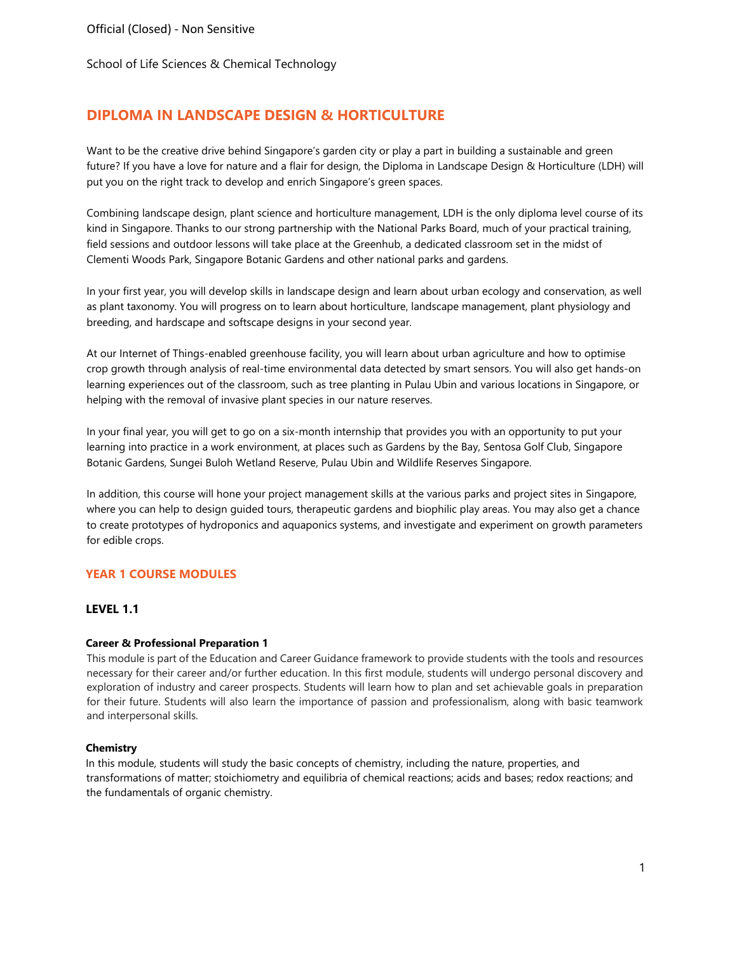# **DIPLOMA IN LANDSCAPE DESIGN & HORTICULTURE**

Want to be the creative drive behind Singapore's garden city or play a part in building a sustainable and green future? If you have a love for nature and a flair for design, the Diploma in Landscape Design & Horticulture (LDH) will put you on the right track to develop and enrich Singapore's green spaces.

Combining landscape design, plant science and horticulture management, LDH is the only diploma level course of its kind in Singapore. Thanks to our strong partnership with the National Parks Board, much of your practical training, field sessions and outdoor lessons will take place at the Greenhub, a dedicated classroom set in the midst of Clementi Woods Park, Singapore Botanic Gardens and other national parks and gardens.

In your first year, you will develop skills in landscape design and learn about urban ecology and conservation, as well as plant taxonomy. You will progress on to learn about horticulture, landscape management, plant physiology and breeding, and hardscape and softscape designs in your second year.

At our Internet of Things-enabled greenhouse facility, you will learn about urban agriculture and how to optimise crop growth through analysis of real-time environmental data detected by smart sensors. You will also get hands-on learning experiences out of the classroom, such as tree planting in Pulau Ubin and various locations in Singapore, or helping with the removal of invasive plant species in our nature reserves.

In your final year, you will get to go on a six-month internship that provides you with an opportunity to put your learning into practice in a work environment, at places such as Gardens by the Bay, Sentosa Golf Club, Singapore Botanic Gardens, Sungei Buloh Wetland Reserve, Pulau Ubin and Wildlife Reserves Singapore.

In addition, this course will hone your project management skills at the various parks and project sites in Singapore, where you can help to design guided tours, therapeutic gardens and biophilic play areas. You may also get a chance to create prototypes of hydroponics and aquaponics systems, and investigate and experiment on growth parameters for edible crops.

## **YEAR 1 COURSE MODULES**

### **LEVEL 1.1**

### **Career & Professional Preparation 1**

This module is part of the Education and Career Guidance framework to provide students with the tools and resources necessary for their career and/or further education. In this first module, students will undergo personal discovery and exploration of industry and career prospects. Students will learn how to plan and set achievable goals in preparation for their future. Students will also learn the importance of passion and professionalism, along with basic teamwork and interpersonal skills.

### **Chemistry**

In this module, students will study the basic concepts of chemistry, including the nature, properties, and transformations of matter; stoichiometry and equilibria of chemical reactions; acids and bases; redox reactions; and the fundamentals of organic chemistry.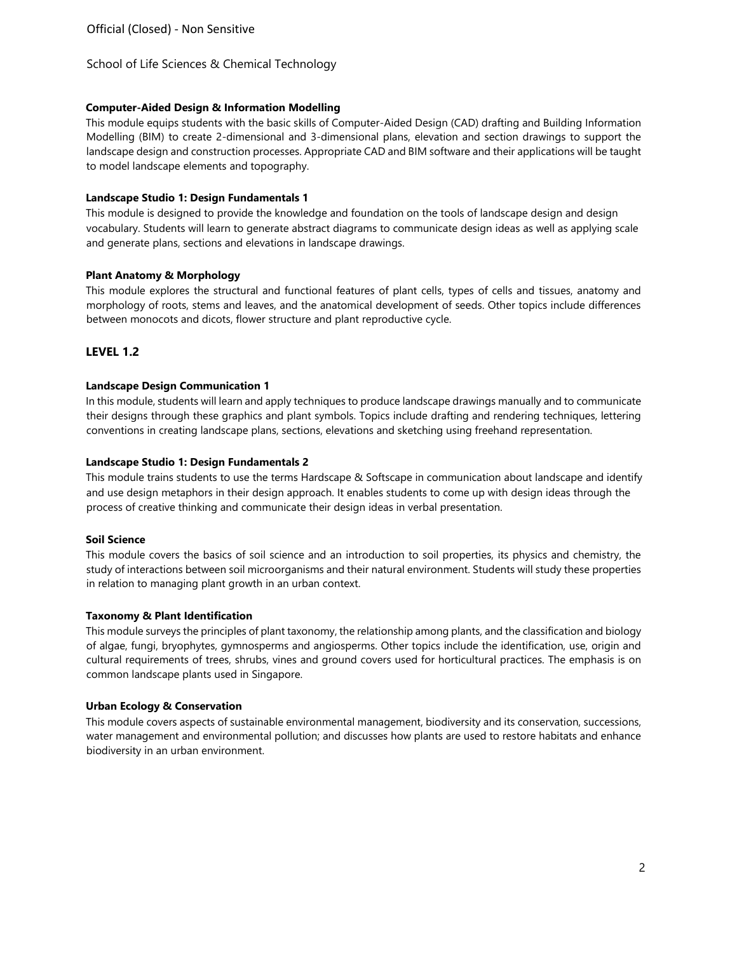## **Computer-Aided Design & Information Modelling**

This module equips students with the basic skills of Computer-Aided Design (CAD) drafting and Building Information Modelling (BIM) to create 2-dimensional and 3-dimensional plans, elevation and section drawings to support the landscape design and construction processes. Appropriate CAD and BIM software and their applications will be taught to model landscape elements and topography.

## **Landscape Studio 1: Design Fundamentals 1**

This module is designed to provide the knowledge and foundation on the tools of landscape design and design vocabulary. Students will learn to generate abstract diagrams to communicate design ideas as well as applying scale and generate plans, sections and elevations in landscape drawings.

## **Plant Anatomy & Morphology**

This module explores the structural and functional features of plant cells, types of cells and tissues, anatomy and morphology of roots, stems and leaves, and the anatomical development of seeds. Other topics include differences between monocots and dicots, flower structure and plant reproductive cycle.

## **LEVEL 1.2**

## **Landscape Design Communication 1**

In this module, students will learn and apply techniques to produce landscape drawings manually and to communicate their designs through these graphics and plant symbols. Topics include drafting and rendering techniques, lettering conventions in creating landscape plans, sections, elevations and sketching using freehand representation.

## **Landscape Studio 1: Design Fundamentals 2**

This module trains students to use the terms Hardscape & Softscape in communication about landscape and identify and use design metaphors in their design approach. It enables students to come up with design ideas through the process of creative thinking and communicate their design ideas in verbal presentation.

## **Soil Science**

This module covers the basics of soil science and an introduction to soil properties, its physics and chemistry, the study of interactions between soil microorganisms and their natural environment. Students will study these properties in relation to managing plant growth in an urban context.

## **Taxonomy & Plant Identification**

This module surveys the principles of plant taxonomy, the relationship among plants, and the classification and biology of algae, fungi, bryophytes, gymnosperms and angiosperms. Other topics include the identification, use, origin and cultural requirements of trees, shrubs, vines and ground covers used for horticultural practices. The emphasis is on common landscape plants used in Singapore.

## **Urban Ecology & Conservation**

This module covers aspects of sustainable environmental management, biodiversity and its conservation, successions, water management and environmental pollution; and discusses how plants are used to restore habitats and enhance biodiversity in an urban environment.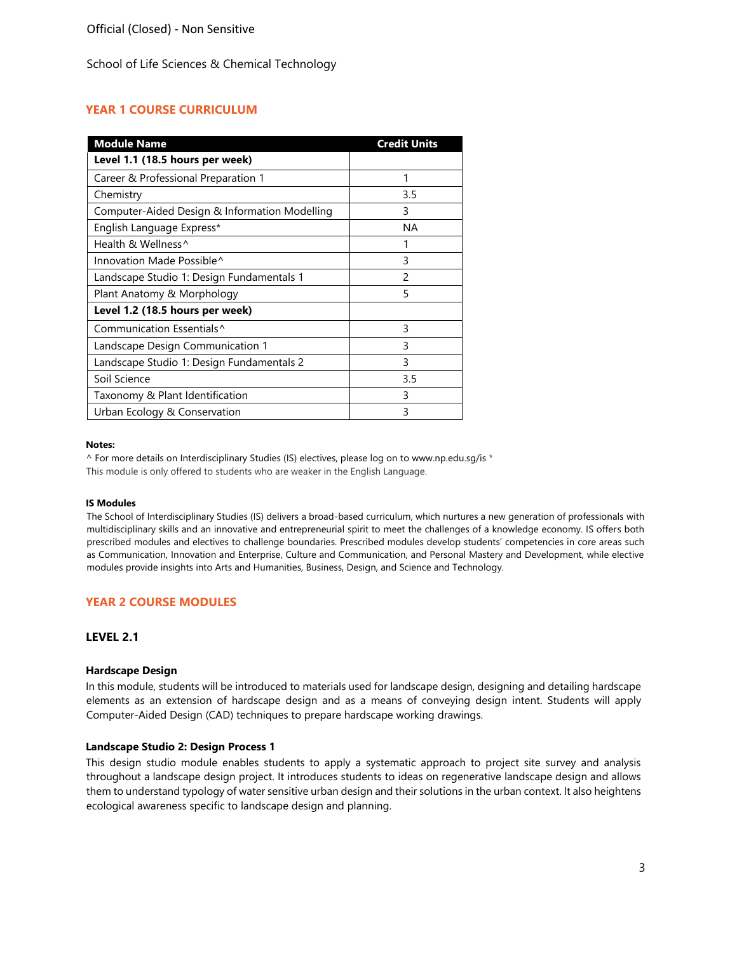## **YEAR 1 COURSE CURRICULUM**

| <b>Module Name</b>                            | <b>Credit Units</b> |
|-----------------------------------------------|---------------------|
| Level 1.1 (18.5 hours per week)               |                     |
| Career & Professional Preparation 1           |                     |
| Chemistry                                     | 3.5                 |
| Computer-Aided Design & Information Modelling | 3                   |
| English Language Express*                     | ΝA                  |
| Health & Wellness^                            |                     |
| Innovation Made Possible^                     | 3                   |
| Landscape Studio 1: Design Fundamentals 1     | 2                   |
| Plant Anatomy & Morphology                    | 5                   |
| Level 1.2 (18.5 hours per week)               |                     |
| Communication Essentials <sup>^</sup>         | 3                   |
| Landscape Design Communication 1              | 3                   |
| Landscape Studio 1: Design Fundamentals 2     | 3                   |
| Soil Science                                  | 3.5                 |
| Taxonomy & Plant Identification               | 3                   |
| Urban Ecology & Conservation                  | ξ                   |

#### **Notes:**

^ For more details on Interdisciplinary Studies (IS) electives, please log on [to www.np.edu.sg/is](http://www.np.edu.sg/is) \* This module is only offered to students who are weaker in the English Language.

#### **IS Modules**

The School of Interdisciplinary Studies (IS) delivers a broad-based curriculum, which nurtures a new generation of professionals with multidisciplinary skills and an innovative and entrepreneurial spirit to meet the challenges of a knowledge economy. IS offers both prescribed modules and electives to challenge boundaries. Prescribed modules develop students' competencies in core areas such as Communication, Innovation and Enterprise, Culture and Communication, and Personal Mastery and Development, while elective modules provide insights into Arts and Humanities, Business, Design, and Science and Technology.

## **YEAR 2 COURSE MODULES**

## **LEVEL 2.1**

#### **Hardscape Design**

In this module, students will be introduced to materials used for landscape design, designing and detailing hardscape elements as an extension of hardscape design and as a means of conveying design intent. Students will apply Computer-Aided Design (CAD) techniques to prepare hardscape working drawings.

#### **Landscape Studio 2: Design Process 1**

This design studio module enables students to apply a systematic approach to project site survey and analysis throughout a landscape design project. It introduces students to ideas on regenerative landscape design and allows them to understand typology of water sensitive urban design and their solutions in the urban context. It also heightens ecological awareness specific to landscape design and planning.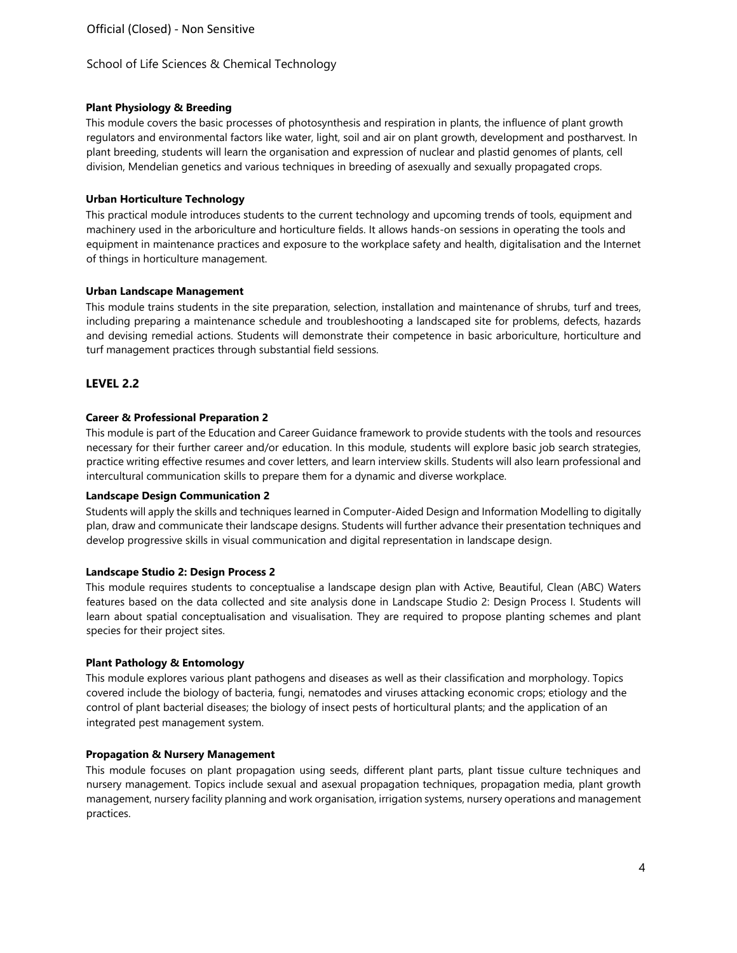### **Plant Physiology & Breeding**

This module covers the basic processes of photosynthesis and respiration in plants, the influence of plant growth regulators and environmental factors like water, light, soil and air on plant growth, development and postharvest. In plant breeding, students will learn the organisation and expression of nuclear and plastid genomes of plants, cell division, Mendelian genetics and various techniques in breeding of asexually and sexually propagated crops.

### **Urban Horticulture Technology**

This practical module introduces students to the current technology and upcoming trends of tools, equipment and machinery used in the arboriculture and horticulture fields. It allows hands-on sessions in operating the tools and equipment in maintenance practices and exposure to the workplace safety and health, digitalisation and the Internet of things in horticulture management.

### **Urban Landscape Management**

This module trains students in the site preparation, selection, installation and maintenance of shrubs, turf and trees, including preparing a maintenance schedule and troubleshooting a landscaped site for problems, defects, hazards and devising remedial actions. Students will demonstrate their competence in basic arboriculture, horticulture and turf management practices through substantial field sessions.

## **LEVEL 2.2**

### **Career & Professional Preparation 2**

This module is part of the Education and Career Guidance framework to provide students with the tools and resources necessary for their further career and/or education. In this module, students will explore basic job search strategies, practice writing effective resumes and cover letters, and learn interview skills. Students will also learn professional and intercultural communication skills to prepare them for a dynamic and diverse workplace.

### **Landscape Design Communication 2**

Students will apply the skills and techniques learned in Computer-Aided Design and Information Modelling to digitally plan, draw and communicate their landscape designs. Students will further advance their presentation techniques and develop progressive skills in visual communication and digital representation in landscape design.

### **Landscape Studio 2: Design Process 2**

This module requires students to conceptualise a landscape design plan with Active, Beautiful, Clean (ABC) Waters features based on the data collected and site analysis done in Landscape Studio 2: Design Process I. Students will learn about spatial conceptualisation and visualisation. They are required to propose planting schemes and plant species for their project sites.

### **Plant Pathology & Entomology**

This module explores various plant pathogens and diseases as well as their classification and morphology. Topics covered include the biology of bacteria, fungi, nematodes and viruses attacking economic crops; etiology and the control of plant bacterial diseases; the biology of insect pests of horticultural plants; and the application of an integrated pest management system.

### **Propagation & Nursery Management**

This module focuses on plant propagation using seeds, different plant parts, plant tissue culture techniques and nursery management. Topics include sexual and asexual propagation techniques, propagation media, plant growth management, nursery facility planning and work organisation, irrigation systems, nursery operations and management practices.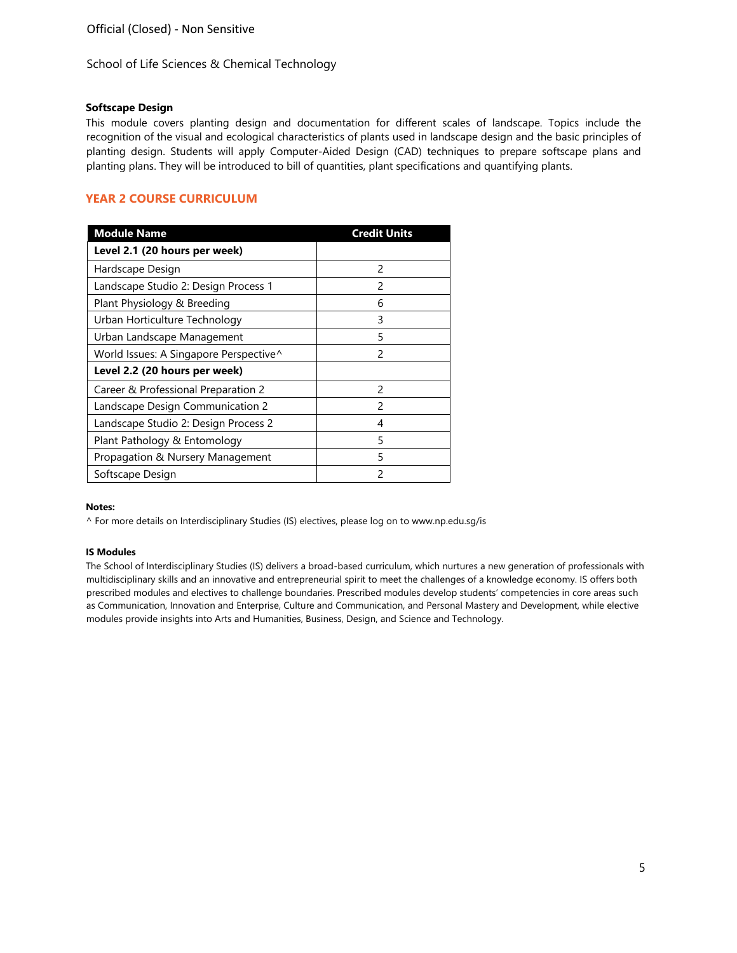### **Softscape Design**

This module covers planting design and documentation for different scales of landscape. Topics include the recognition of the visual and ecological characteristics of plants used in landscape design and the basic principles of planting design. Students will apply Computer-Aided Design (CAD) techniques to prepare softscape plans and planting plans. They will be introduced to bill of quantities, plant specifications and quantifying plants.

# **YEAR 2 COURSE CURRICULUM**

| <b>Module Name</b>                     | <b>Credit Units</b> |
|----------------------------------------|---------------------|
| Level 2.1 (20 hours per week)          |                     |
| Hardscape Design                       | $\mathcal{P}$       |
| Landscape Studio 2: Design Process 1   | 2                   |
| Plant Physiology & Breeding            | 6                   |
| Urban Horticulture Technology          | 3                   |
| Urban Landscape Management             | 5                   |
| World Issues: A Singapore Perspective^ | $\mathcal{P}$       |
| Level 2.2 (20 hours per week)          |                     |
| Career & Professional Preparation 2    | $\mathfrak{p}$      |
| Landscape Design Communication 2       | $\mathfrak{p}$      |
| Landscape Studio 2: Design Process 2   | 4                   |
| Plant Pathology & Entomology           | 5                   |
| Propagation & Nursery Management       | 5                   |
| Softscape Design                       | 2                   |

### **Notes:**

^ For more details on Interdisciplinary Studies (IS) electives, please log on [to www.np.edu.sg/is](http://www.np.edu.sg/is)

#### **IS Modules**

The School of Interdisciplinary Studies (IS) delivers a broad-based curriculum, which nurtures a new generation of professionals with multidisciplinary skills and an innovative and entrepreneurial spirit to meet the challenges of a knowledge economy. IS offers both prescribed modules and electives to challenge boundaries. Prescribed modules develop students' competencies in core areas such as Communication, Innovation and Enterprise, Culture and Communication, and Personal Mastery and Development, while elective modules provide insights into Arts and Humanities, Business, Design, and Science and Technology.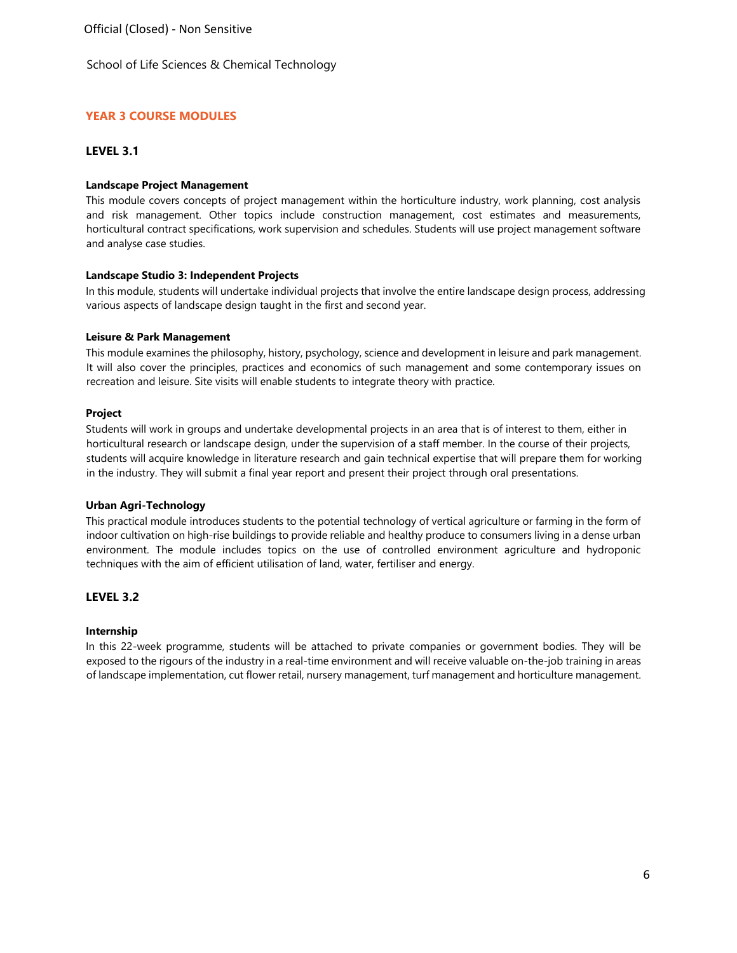Official (Closed) - Non Sensitive

School of Life Sciences & Chemical Technology

## **YEAR 3 COURSE MODULES**

### **LEVEL 3.1**

### **Landscape Project Management**

This module covers concepts of project management within the horticulture industry, work planning, cost analysis and risk management. Other topics include construction management, cost estimates and measurements, horticultural contract specifications, work supervision and schedules. Students will use project management software and analyse case studies.

### **Landscape Studio 3: Independent Projects**

In this module, students will undertake individual projects that involve the entire landscape design process, addressing various aspects of landscape design taught in the first and second year.

### **Leisure & Park Management**

This module examines the philosophy, history, psychology, science and development in leisure and park management. It will also cover the principles, practices and economics of such management and some contemporary issues on recreation and leisure. Site visits will enable students to integrate theory with practice.

### **Project**

Students will work in groups and undertake developmental projects in an area that is of interest to them, either in horticultural research or landscape design, under the supervision of a staff member. In the course of their projects, students will acquire knowledge in literature research and gain technical expertise that will prepare them for working in the industry. They will submit a final year report and present their project through oral presentations.

### **Urban Agri-Technology**

This practical module introduces students to the potential technology of vertical agriculture or farming in the form of indoor cultivation on high-rise buildings to provide reliable and healthy produce to consumers living in a dense urban environment. The module includes topics on the use of controlled environment agriculture and hydroponic techniques with the aim of efficient utilisation of land, water, fertiliser and energy.

## **LEVEL 3.2**

### **Internship**

In this 22-week programme, students will be attached to private companies or government bodies. They will be exposed to the rigours of the industry in a real-time environment and will receive valuable on-the-job training in areas of landscape implementation, cut flower retail, nursery management, turf management and horticulture management.